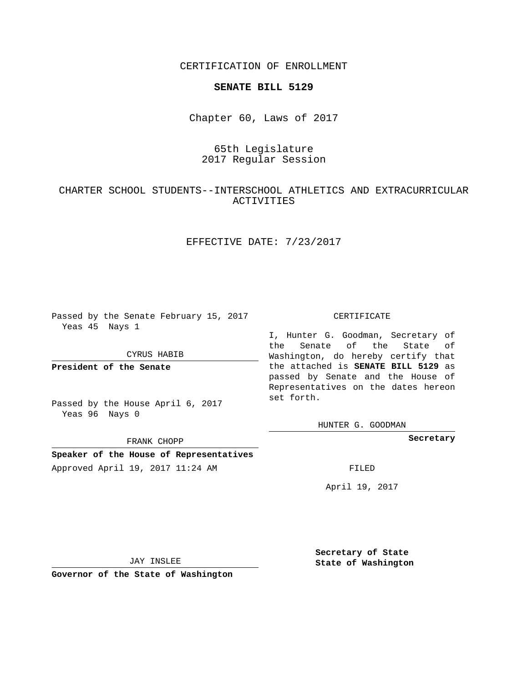CERTIFICATION OF ENROLLMENT

### **SENATE BILL 5129**

Chapter 60, Laws of 2017

# 65th Legislature 2017 Regular Session

# CHARTER SCHOOL STUDENTS--INTERSCHOOL ATHLETICS AND EXTRACURRICULAR ACTIVITIES

## EFFECTIVE DATE: 7/23/2017

Passed by the Senate February 15, 2017 Yeas 45 Nays 1

CYRUS HABIB

**President of the Senate**

Passed by the House April 6, 2017 Yeas 96 Nays 0

FRANK CHOPP

**Speaker of the House of Representatives** Approved April 19, 2017 11:24 AM FILED

#### CERTIFICATE

I, Hunter G. Goodman, Secretary of the Senate of the State of Washington, do hereby certify that the attached is **SENATE BILL 5129** as passed by Senate and the House of Representatives on the dates hereon set forth.

HUNTER G. GOODMAN

**Secretary**

April 19, 2017

JAY INSLEE

**Governor of the State of Washington**

**Secretary of State State of Washington**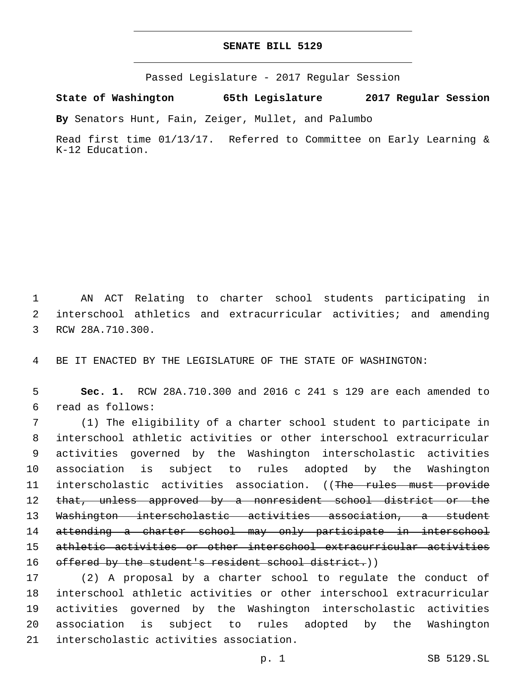## **SENATE BILL 5129**

Passed Legislature - 2017 Regular Session

**State of Washington 65th Legislature 2017 Regular Session**

**By** Senators Hunt, Fain, Zeiger, Mullet, and Palumbo

Read first time 01/13/17. Referred to Committee on Early Learning & K-12 Education.

1 AN ACT Relating to charter school students participating in 2 interschool athletics and extracurricular activities; and amending 3 RCW 28A.710.300.

4 BE IT ENACTED BY THE LEGISLATURE OF THE STATE OF WASHINGTON:

5 **Sec. 1.** RCW 28A.710.300 and 2016 c 241 s 129 are each amended to read as follows:6

 (1) The eligibility of a charter school student to participate in interschool athletic activities or other interschool extracurricular activities governed by the Washington interscholastic activities association is subject to rules adopted by the Washington 11 interscholastic activities association. ((The rules must provide 12 that, unless approved by a nonresident school district or the Washington interscholastic activities association, a student attending a charter school may only participate in interschool athletic activities or other interschool extracurricular activities 16 offered by the student's resident school district.))

 (2) A proposal by a charter school to regulate the conduct of interschool athletic activities or other interschool extracurricular activities governed by the Washington interscholastic activities association is subject to rules adopted by the Washington 21 interscholastic activities association.